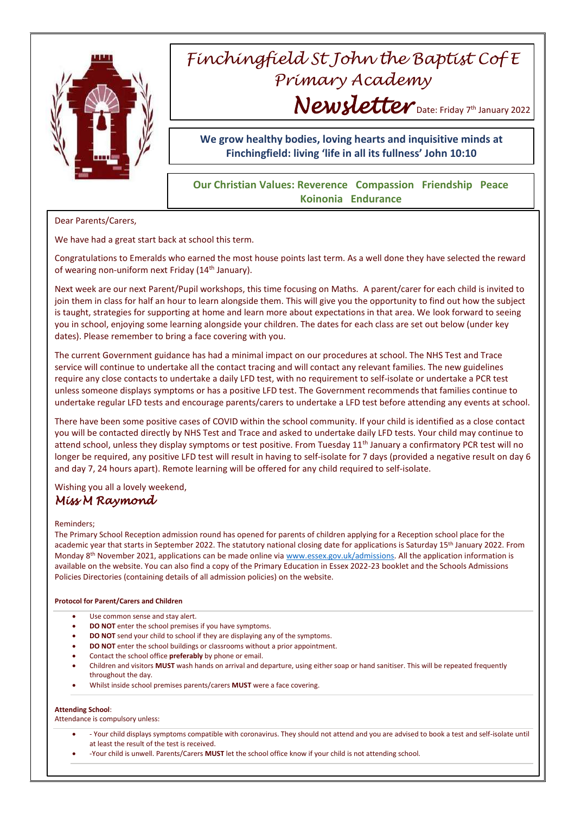

# *Finchingfield St John the Baptist Cof E Primary Academy Newsletter* Date: Friday 7th January 2022

## **We grow healthy bodies, loving hearts and inquisitive minds at Finchingfield: living 'life in all its fullness' John 10:10**

## **Our Christian Values: Reverence Compassion Friendship Peace Koinonia Endurance**

Dear Parents/Carers,

We have had a great start back at school this term.

Congratulations to Emeralds who earned the most house points last term. As a well done they have selected the reward of wearing non-uniform next Friday (14<sup>th</sup> January).

Next week are our next Parent/Pupil workshops, this time focusing on Maths. A parent/carer for each child is invited to join them in class for half an hour to learn alongside them. This will give you the opportunity to find out how the subject is taught, strategies for supporting at home and learn more about expectations in that area. We look forward to seeing you in school, enjoying some learning alongside your children. The dates for each class are set out below (under key dates). Please remember to bring a face covering with you.

The current Government guidance has had a minimal impact on our procedures at school. The NHS Test and Trace service will continue to undertake all the contact tracing and will contact any relevant families. The new guidelines require any close contacts to undertake a daily LFD test, with no requirement to self-isolate or undertake a PCR test unless someone displays symptoms or has a positive LFD test. The Government recommends that families continue to undertake regular LFD tests and encourage parents/carers to undertake a LFD test before attending any events at school.

There have been some positive cases of COVID within the school community. If your child is identified as a close contact you will be contacted directly by NHS Test and Trace and asked to undertake daily LFD tests. Your child may continue to attend school, unless they display symptoms or test positive. From Tuesday  $11<sup>th</sup>$  January a confirmatory PCR test will no longer be required, any positive LFD test will result in having to self-isolate for 7 days (provided a negative result on day 6 and day 7, 24 hours apart). Remote learning will be offered for any child required to self-isolate.

Wishing you all a lovely weekend, *Miss M Raymond* 

### Reminders;

The Primary School Reception admission round has opened for parents of children applying for a Reception school place for the academic year that starts in September 2022. The statutory national closing date for applications is Saturday 15<sup>th</sup> January 2022. From Monday 8<sup>th</sup> November 2021, applications can be made online vi[a www.essex.gov.uk/admissions.](http://www.essex.gov.uk/admissions) All the application information is available on the website. You can also find a copy of the Primary Education in Essex 2022-23 booklet and the Schools Admissions Policies Directories (containing details of all admission policies) on the website.

### **Protocol for Parent/Carers and Children**

- Use common sense and stay alert.
- **DO NOT** enter the school premises if you have symptoms.
- **DO NOT** send your child to school if they are displaying any of the symptoms.
- **DO NOT** enter the school buildings or classrooms without a prior appointment.
- Contact the school office **preferably** by phone or email.
- Children and visitors **MUST** wash hands on arrival and departure, using either soap or hand sanitiser. This will be repeated frequently throughout the day.
- Whilst inside school premises parents/carers **MUST** were a face covering.

#### **Attending School**:

Attendance is compulsory unless:

- Your child displays symptoms compatible with coronavirus. They should not attend and you are advised to book a test and self-isolate until at least the result of the test is received.
- -Your child is unwell. Parents/Carers **MUST** let the school office know if your child is not attending school.